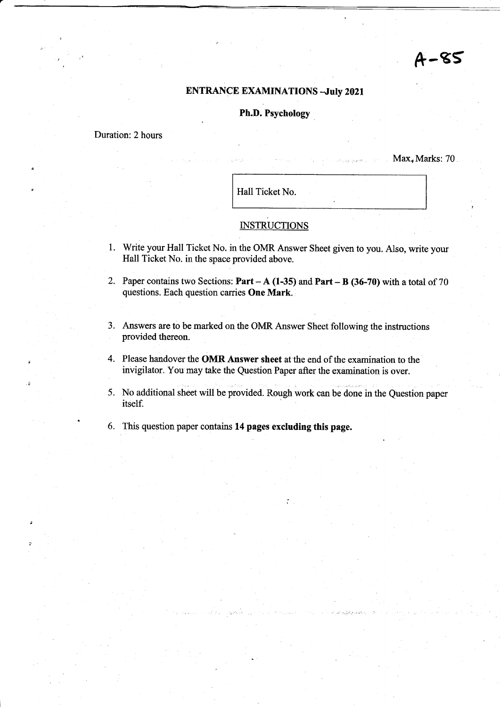# ENTRANCE EXAMINATIONS -July 2021

# h.D. Psychology

# Duration: 2 hours

 $Max, Marks:70$ 

 $A - 85$ 

Hall Ticket No.

# **INSTRUCTIONS**

- 1. Write your Hall Ticket No. in the OMR Answer Sheet given to you. Also, write your Hall Ticket No. in the space provided above.
- 2. Paper contains two Sections: Part  $-A(1-35)$  and Part  $-B(36-70)$  with a total of 70 questions. Each question carries One Mark.
- 3. Answers are to be marked on the OMR Answer Sheet following the instructions provided thereon.
- 4. Please handover the OMR Answer sheet at the end of the examination to the invigilator. You may take the Question Paper after the examination is over.
- 5. No additional sheet will be provided. Rough work can be done in the Question paper itself.
- 6. This question paper contains 14 pages excluding this page.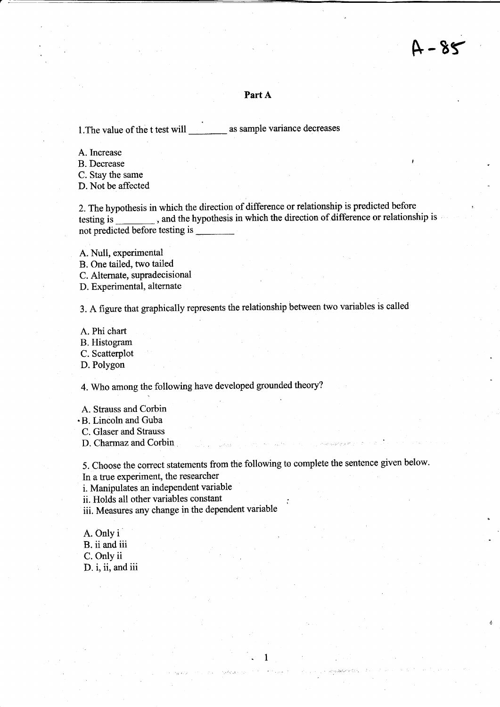## Part A

1. The value of the t test will \_\_\_\_\_\_\_\_\_\_ as sample variance decreases

A.Increase

B. Decrease '

C. Stay the same

D. Not be affected

2. The hypothesis in which the direction of difference or relationship is predicted before testing is , and the hypothesis in which the direction of difference or relationship is not predicted before testing is

A. Null, experimental

B. One tailed, two tailed

C. Alternate, supradecisional

D. Experimental, alternate

3. A figure that graphically represents the relationship between two variables is called

A. Phi chart

B. Histogram

C. Scatterplot

D. Polygon

4. Who among the following have developed grounded theory?

A. Strauss and Corbin

 $\cdot$ B. Lincoln and Guba

C. Glaser and Strauss

D. Charmaz and Corbin

5. Choose the correct statements from the following to complete the sentence given below. In a true experiment, the researcher

.<br>.

1

i. Manipulates an independent variable

ii. Holds all other variables constant

iii. Measures any change in the dependent variable

A. Only i B. ii and iii C. Only ii D. i, ii, and iii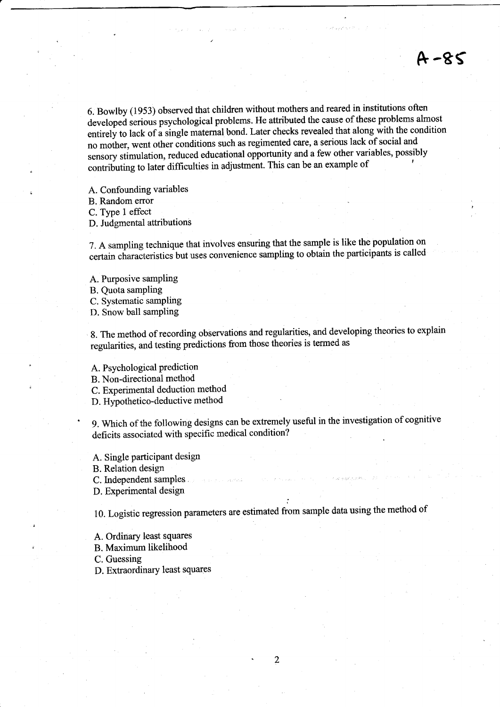6. Bowlby (1953) observed that children without mothers and reared in institutions often developed serious psychological problems. He attributed the cause of these problems almost entirely to lack of a single maternal bond. Later checks revealed that along with the condition no mother, went other conditions such as regimented care, a serious lack of social and sensory stimulation, reduced educational opportunity and a few other variables, possibly contributing to later difficulties in adjustment. This can be an example of

&-8S

A. Confounding variables

B. Random error

D. Judgmental attributions

7. A sampling technique that involves ensuring that the sample is like the population on certain characteristics but uses convenience sampling to obtain the participants is called

A. Purposive sampling

B. Quota sampling

C. Systematic sampling

D. Snow ball sampling

g. The method of recording observations and regularities, and developing theories to explain regularities, and testing predictions from those theories is termed as

A. Psychological prediction

B. Non-directional method

C. Experimental deduction method

D. Hypothetico-deductive method

9. Which of the following designs can be extremely useful in the investigation of cognitive deficits associated with specific medical condition?

A. Single participant design

B. Relation design

C. Independent samples .

D. Experimental design

: 10. Logistic regression parameters are estimated from sample data using the method of

A. Ordinary least squares

B. Maximum likelihood

C. Guessing

D. Extraordinary least squares

 $\overline{2}$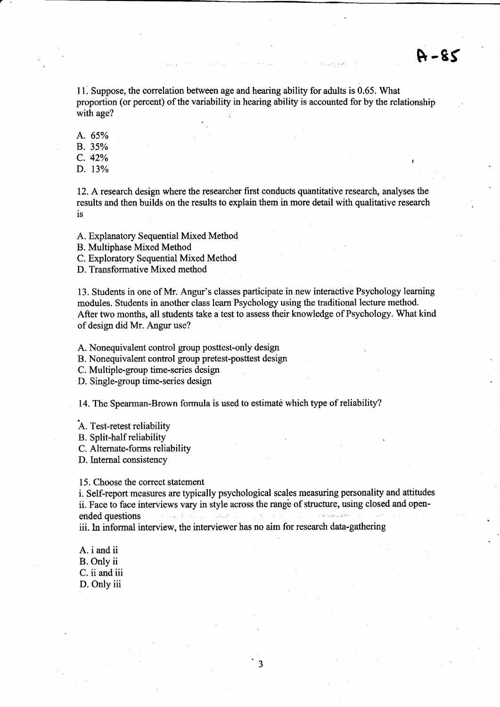$A - 85$ 

11. Suppose, the correlation between age and hearing ability for adults is 0.65. What proportion (or percent) of the variability in hearing ability is accounted for by the relationship with age?

A. 65% B. 35% c. 42%

D. 13%

12. A research design where the researcher first conducts quantitative research, analyses the results and then builds on the results to explain them in more detail with qualitative research is

A. Explanatory Sequential Mixed Method

B. Multiphase Mixed Method

C. Exploratory Sequential Mixed Method

D. Transformative Mixed method

13. Students in one of Mr. Angur's classes participate in new interactive Psychology leaming modules. Students in another class learn Psychology using the traditional lecture method. After two months, all students take a test to assess their knowledge of Psychology. What kind of design did Mr. Angur use?

A. Nonequivalent control group posttest-only design

B. Nonequivalent control group pretest-posttest design

C. Multiple-group time-series design

D. Single-group time-series design

14. The Spearman-Brown formula is used to estimate which type of reliability?

A. Test-retest reliability

B. Split-half reliability

C. Altemate-forms reliability

D.Intemal consistency

15. Choose the correct statement

i. Self-report measures are typically psychological scales measuring personality and attitudes ii. Face to face interviews vary in style across the range of structure, using closed and openendedquestions L <sup>l</sup> iii. In informal interview, the interviewer has no aim for research data-gathering

 $\overline{\mathbf{3}}$ 

A. i and ii B. Only ii C. ii and iii D. Only iii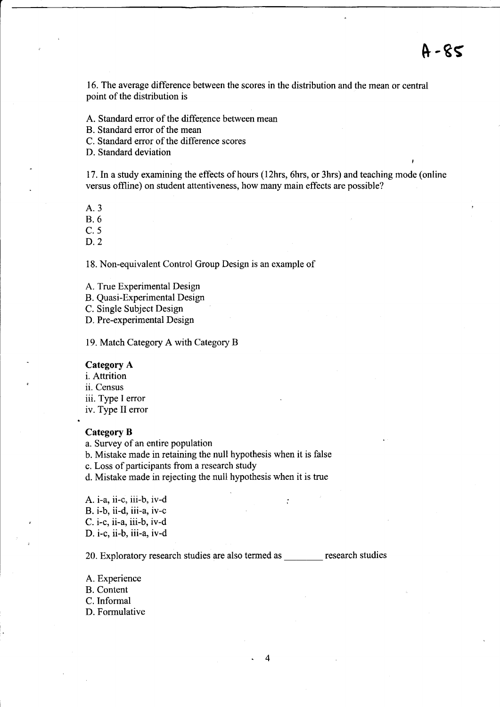,

16. The average difference between the scores in the distribution and the mean or central point of the distribution is

A. Standard error of the difference between mean

B. Standard error of the mean

C. Standard error of the difference scores

D. Standard deviation

<sup>17</sup>. ln astudy examining the effects of hours ( l2hrs, 6hrs, or 3hrs) and teaching mode (online versus offline) on student attentiveness, how many main effects are possible?

A.3

8.6

c.s

D.2

18. Non-equivalent Control Group Design is an example of

A. True Experimental Design

B. Quasi-Experimental Design

C. Single Subject Design

D. Pre-experimental Design

19. Match Category A with Category B

## Category A

i. Attrition

ii. Census

iii. Type I error

iv. Type II eror

### Category B

a. Survey of an entire population

b. Mistake made in retaining the null hypothesis when it is false

c. Loss of participants from a research study

d. Mistake made in rejecting the null hypothesis when it is true

A. i-a, ii-c, iii-b, iv-d B. i-b, ii-d, iii-a, iv-c C. i-c, ii-a, iii-b, iv-d D. i-c, ii-b, iii-a, iv-d

20. Exploratory research studies are also termed as \_\_\_\_\_\_\_ research studies

A. Experience B. Content C.Informal

D. Formulative

 $\ddot{\cdot}$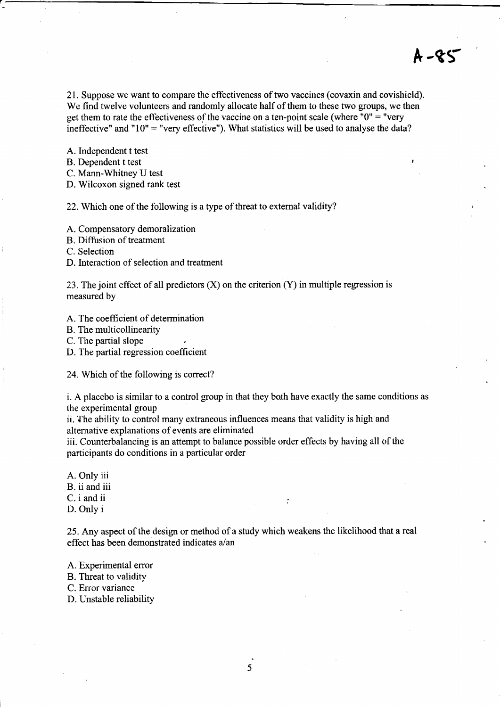21. Suppose we want to compare the effectiveness of two vaccines (covaxin and covishield). We find twelve volunteers and randomly allocate half of them to these two groups, we then get them to rate the effectiveness of the vaccine on a ten-point scale (where  $"0" = "very$ 

A-gr

ineffective" and " $10$ " = "very effective"). What statistics will be used to analyse the data?

A. Independent t test

B. Dependent t test

C. Mann-Whitney U test

D. Wilcoxon signed rank test

22. Which one of the following is a type of threat to external validity?

A. Compensatory demoralization

B. Diffusion of treatment

C. Selection

D. Interaction of selection and treatment

23. The joint effect of all predictors  $(X)$  on the criterion  $(Y)$  in multiple regression is measured by

- A. The coefficient of determination
- B. The multicollinearity

C. The partial slope

D. The partial regression coefficient

24. Which of the following is correct?

i. A placebo is similar to a control group in that they both have exactly the same conditions as the experimental group

ii. The ability to control many extraneous influences means that validity is high and alternative explanations of events are eliminated

iii. Counterbalancing is an attempt to balance possible order effects by having all of the participants do conditions in a particular order

A. Only iii

B. ii and iii

C. i and ii

D. Only i

<sup>25</sup>. Any aspect of the design or method of a study which weakens the likelihood that a real effect has been demonstrated indicates a/an

 $\cdot$ 

A. Experimental error

B. Threat to validity

C. Error variance

D. Unstable reliability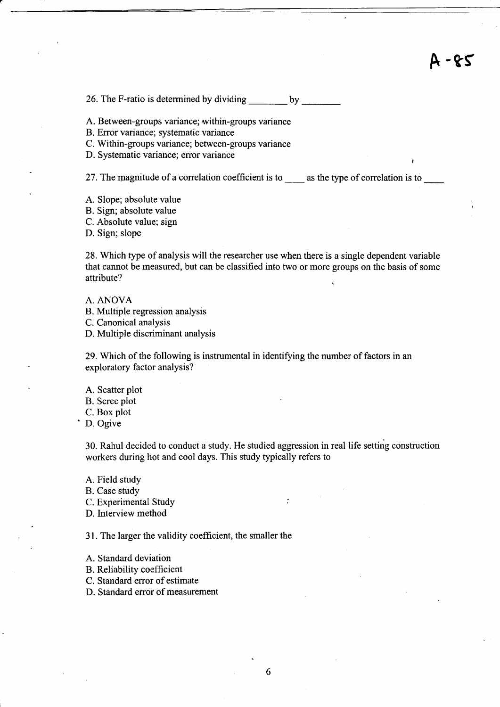# <sup>A</sup>-ts

26. The F-ratio is determined by dividing by

A. Between-groups variance; within-groups variance

B. Error variance; systematic variance

C. Within-groups variance; between-groups variance

D. Systematic variance; error variance

27. The magnitude of a correlation coefficient is to  $\_\_\_\_\$ as the type of correlation is to  $\_\_\_\_\_\_\_\_\_\_\$ 

A. Slope; absolute value

B. Sign; absolute value

C. Absolute value; sign

D. Sign; slope

28. Which type of analysis will the researcher use when there is a single dependent variable that cannot be measured, but can be classified into two or more groups on the basis of some attribute?

A. ANOVA

- B. Multiple regression analysis
- C. Canonical analysis

D. Multiple discriminant analysis

29. Which of the following is instrumental in identifying the number of factors in an exploratory factor analysis?

A. Scatter plot

B. Scree plot

C. Box plot<br>D. Ogive

30. Rahul decided to conduct a study. He studied aggression in real life setting construction workers during hot and cool days. This study typically refers to

A. Field study

B. Case study

C. Experimental Study and the contract of the contract of the contract of the contract of the contract of the contract of the contract of the contract of the contract of the contract of the contract of the contract of the

D. Interview method

31. The larger the validity coefficient, the smaller the

A. Standard deviation

B. Reliability coefficient

C. Standard error of estimate

D. Standard error of measurement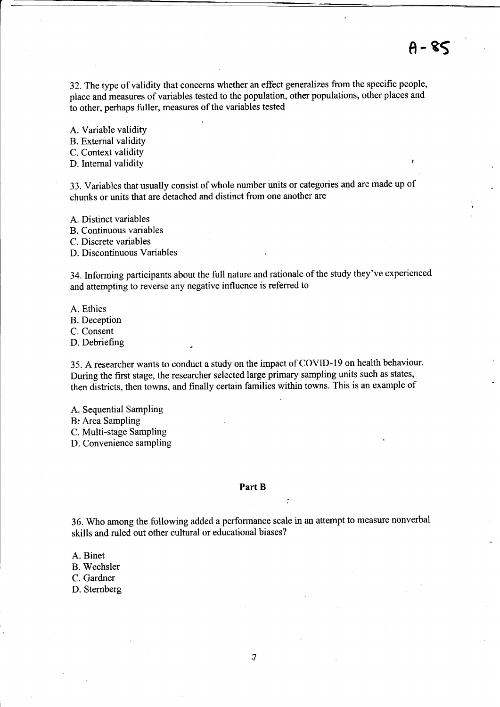32.The type of validity that concerns whether an effect generalizes from the specific people, place and measures of variables tested to the population, other populations, other places and to other, perhaps fuller, measures of the variables tested

A. Variable validity

B. External validity

C. Context validity

D. Internal validity

33. Variables that usually consist of whole number units or categories and are made up of chunks or units that are detached and distinct from one another are

A. Distinct variables

B. Continuous variables

C. Discrete variables

D. Discontinuous Variables

34. Informing participants about the full nature and rationale of the study they've experienced and attempting to reverse any negative influence is referred to

A. Ethics

B. Deception

C. Consent

D. Debriefing

35. A researcher wants to conduct a study on the impact of COVID-19 on health behaviour. During the first stage, the researcher selected large primary sampling units such as states, then districts, then towns, and finally certain families within towns. This is an example of

A. Sequential Sampling

B: Area Sampling

C. Multi-stage Sarnpling

D. Convenience sampling

#### Part B

..

36. Who among the following added a performance scale in an attempt to measure nonverbal skills and ruled out other cultural or educational biases?

A. Binet

B. Wechsler

C. Gardner

D. Sternberg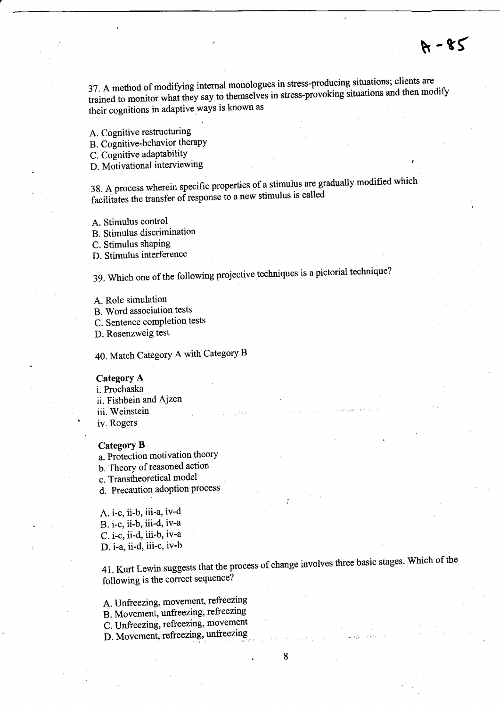$A - 85$ 

37. A method of modifying internal monologues in saces producing streaments.<br>trained to monitor what they say to themselves in stress-provoking situations and then modify their cognitions in adaptive ways is known as

A. Cognitive restructuring

B. Cognitive-behavior therapy

C. Cognitive adaptability

D. Motivational interviewing

38. A process wherein specific properties of a stimulus are gradually modified which facilitates the transfer of response to a new stimulus is called

- A. Stimulus control
- B. Stimulus discrimination

C. Stimulus shaping

D. Stimulus interference

3g. which one of the following projegtive techniques is a pictorial technique?

- A. Role simulation
- B. Word association tests
- C. Sentence completion tests

D. Rosenzweig test

40. Match Category A with Category B

# CategorY A

i. Prochaska ii. Fishbein and Ajzen iii. Weinstein iv. Rogers

## Category B

a. Protection motivation theory b. Theory of reasoned action c. Transtheoretical model d. Precaution adoption process

A. i-c, ii-b, iii-a, iv-d B. i-c, ii-b, iii-d, iv-a C. i-c, ii-d, iii-b, iv-a D. i-a, ii-d, iii-c, iv-b

41. Kurt Lewin suggests that the process of change involves three basic stages. Which of the following is the correct sequence?

8

;

- A. Unfreezing, movement, refreezing
- B. Movemeni, unfreezing, refreezing
- C. Unfreezing, refreezing, movement
- D. Movement, refreezing, unfreezing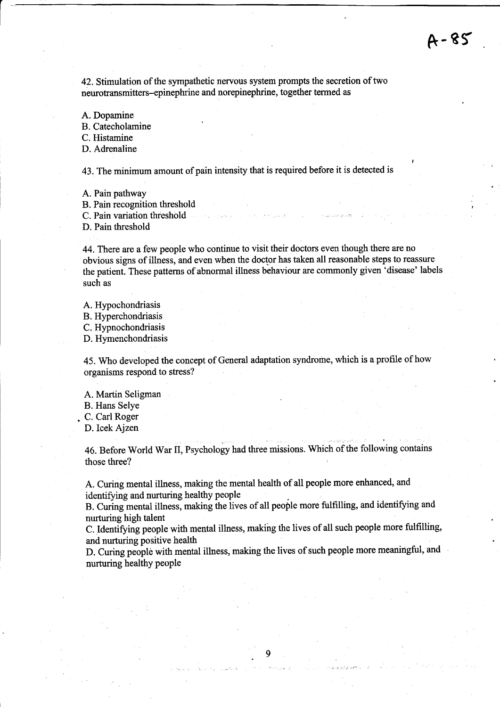42. Stimulation of the sympathetic nervous system prompts the secretion of two neurotransmitters-epinephrine and norepinephrine, together termed as

A. Dopamine

B. Catecholamine

C. Histamine

D. Adrenaline

43. The minimum amount of pain intensity that is required before it is detected is <sup>I</sup>

A. Pain pathway

B. Pain recognition threshold

C. Pain variation threshold

D. Pain threshold

44.There are a few people who continue to visit their doctors even though there are no obvious signs of illness, and even when the doctor has taken all reasonable steps to reassure the patient. These patterns of abnormal illness behaviour are commonly given 'disease' labels such as

A. Hypochondriasis B. Hyperchondriasis C. Hypnochondriasis D. Hymenchondriasis

45. Who developed the concept of General adaptation syndrome, which is a profile of how organisms respond to stress?

A. Martin Seligman

B. Hans Selye

. C. Carl Roger

D.Icek Ajzen

46. Before World War tI, Psychology had three missions. Which of the following contains those three?

A. Curing mental illness, making the mental health of all people more enhanced, and identifying and nurturing healthy people

B. Curing mental illness, making the lives of all people more fulfilling, and identifying and nurturing high talent

C. Identifying people with mental illness, making the lives of all such people more fulfilling, and nurturing positive health

D. Curing people with mental illness, making the lives of such people more meaningful, and nurturing healthy people

9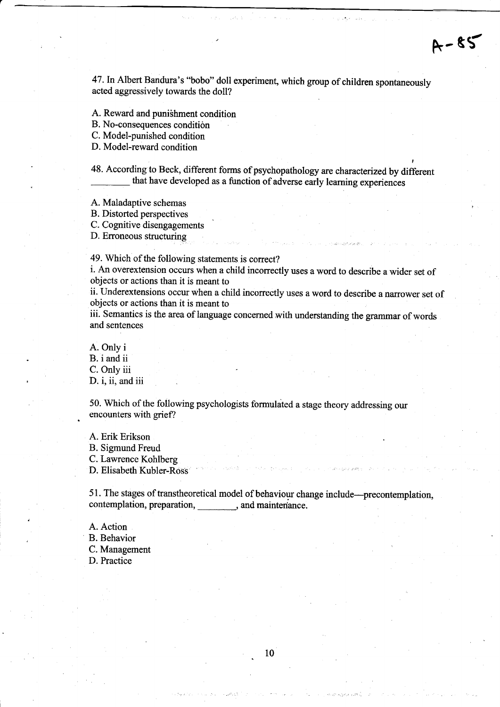47. In Albert Bandura's "bobo" doll experiment, which group of children spontaneously acted aggressively towards the doll?

A. Reward and puni3hment condition

B. No-consequences condition

C. Model-punished condition

D. Model-reward condition

48. According to Beck, different forms of psychopathology are characterized by different that have developed as a function of adverse early leaming experiences

A. Maladaptive schemas

B. Distorted perspectives

C. Cognitive disengagements

D. Erroneous structuring

49. Which of the following statements is correct?

i. An overextension occurs when a child inconectly uses a word to describe a wider set of objects or actions than it is meant to

ii. Underextensions occur when a child incorrectly uses a word to describe a narrower set of objects or actions than it is meant to

iii. Semantics is the area of language concemed with understanding the grammar of words and sentences

A. Only i B, i and ii C. Only iii D. i, ii, and iii

50. Which of the following psychologists formulated a stage theory addressing our encounters with grief?

A. Erik Erikson B. Sigmund Freud C. Lawrence Kohlberg

D. Elisabeth Kubler-Ross

51. The stages of transtheoretical model of behaviour change include-precontemplation, contemplation, preparation,  $\qquad \qquad$ , and maintenance.

A. Action

B. Behavior

C. Management

D. Practice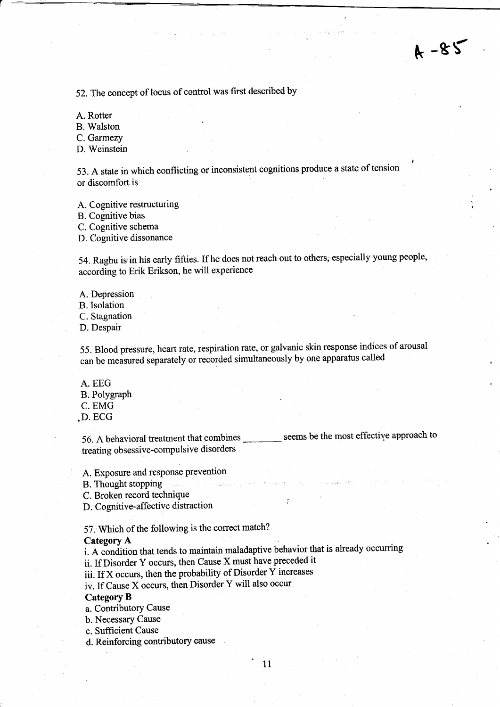52. The concept of locus of control was first described by

A. Rotter

B. Walston

C. Garmezy

D. Weinstein

53. A state in which conflicting or inconsistent cognitions produce a state of tension <sup>I</sup> or discomfort is

A. Cognitive restructuring

B. Cognitive bias

C. Cognitive schema

D. Cognitive dissonance

54. Raghu is in his early fifties. If he does not reach out to others, especially young people, according to Erik Erikson, he will experience

A. Depression

B.Isolation

C. Stagnation

D. Despair

55. Blood pressure, heart rate, respiration rate, or galvanic skin response indices of arousal can be measured separately or recorded simultaneously by one apparatus called

A. EEG

B. Polygraph

C. EMG

.D. ECG

56. A behavioral treatment that combines \_\_\_\_\_\_\_ seems be the most effective approach to treating obsessive-compulsive disorders

A. Exposure and response prevention

B. Thought stopping

C. Broken record technique

D. Cognitive-affective distraction

57. Which of the following is the correct match?

### Category A

i. A condition that tends to maintain maladaptive behavior that is already occurring

11

ii. If Disorder Y occurs, then Cause X must have preceded it

iii. If x occurs, then the probability of Disorder Y increases

iv. If Cause X occurs, then Disorder Y will also occur

## Category B

a. Contributory Cause

b. Necessary Cause

c. Sufficient Cause

d. Reinforcing contributory cause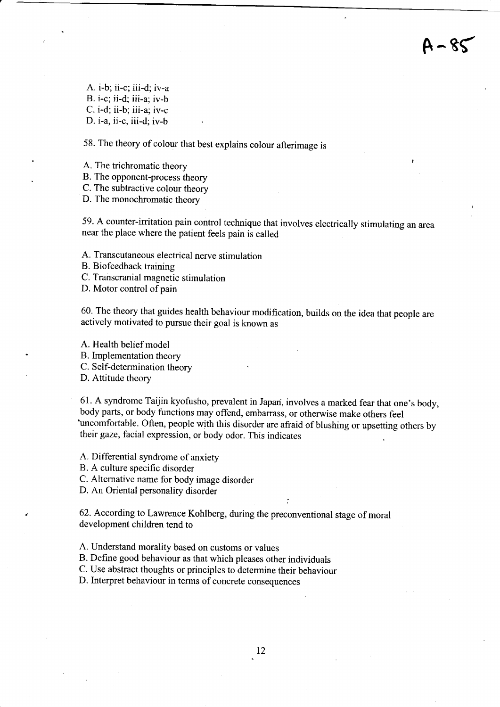$4 - 85$ 

A. i-b; ii-c; iii-d;iv-a B. i-c; ii-d; iii-a; iv-b C. i-d; ii-b; iii-a; iv-c D. i-a, ii-c, iii-d; iv-b

58. The theory of colour that best explains colour afterimage is

A. The trichromatic theory '

B. The opponent-process theory

C. The subtractive colour theory

D. The monochromatic theory

59. A counter-irritation pain control technique that involves electrically stimulating an area near the place where the patient feels pain is called

A. Transcutaneous electrical nerve stimulation

B. Biofeedback training

C. Transcranial magnetic stimulation

D. Motor control of pain

60. The theory that guides health behaviour modification, builds on the idea that people are actively motivated to pursue their goal is known as

A. Health belief model

B. Implementation theory

C. Self-determination theory

D. Attitude theory

61. A syndrome Taijin kyofusho, prevalent in Japan, involves a marked fear that one's body, body parts, or body functions may offend, embarrass, or otherwise make others feel 'uncomfortable. Often, people with this disorder are afraid of blushing or upsetting others by their gaze, facial expression, or body odor. This indicates

;

A. Differential syndrome of anxiety

B. A culture specific disorder

C. Alternative name for body image disorder

D. An Oriental personality disorder

62. According to Lawrence Kohlberg, during the preconventional stage of moral development children tend to

A. Understand morality based on customs or values

B. Define good behaviour as that which pleases other individuals

C. Use abstract thoughts or principles to determine their behaviour

D. Interpret behaviour in tenns of concrete consequences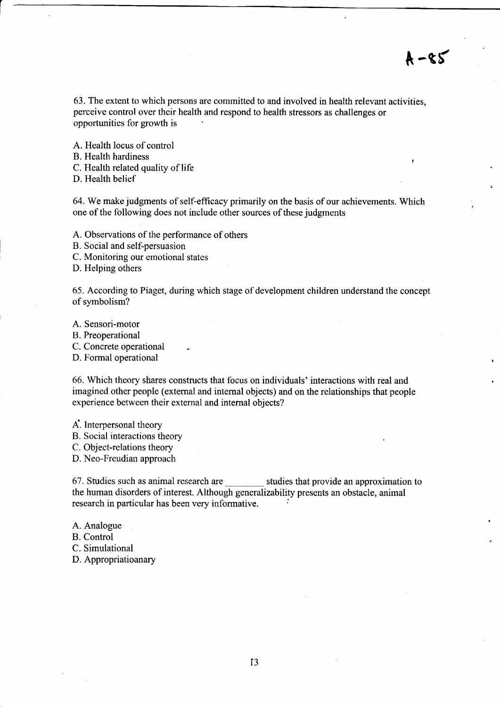63. The extent to which persons are committed to and involved in health relevant activities, perceive control over their health and respond to health stressors as challenges or opportunities for growth is

A. Health locus of control B. Health hardiness C. Health related quality of life D. Health belief

64. We make judgments of self-efficacy primarily on the basis of our achievements. Which one of the following does not include other sources of these judgments

A. Observations of the performance of others

B. Social and self-persuasion

C. Monitoring our emotional states

D. Helping others

65. According to Piaget, during which stage of development children understand the concept of symbolism?

A. Sensori-motor

B. Preoperational

C. Concrete operational

D. Formal operational

66. Which theory shares constructs that focus on individuals' interactions with real and imagined other people (external and internal objects) and on the relationships that people experience between their external and internal objects?

A'. Interpersonal theory

B. Social interactions theory

C. Object-relations theory

D. Neo-Freudian approach

67. Studies such as animal research are studies that provide an approximation to the human disorders of interest. Although generalizability presents an obstacle, animal research in particular has been very informative.

A. Analogue

B. Control

C. Simulational

D. Appropriatioanary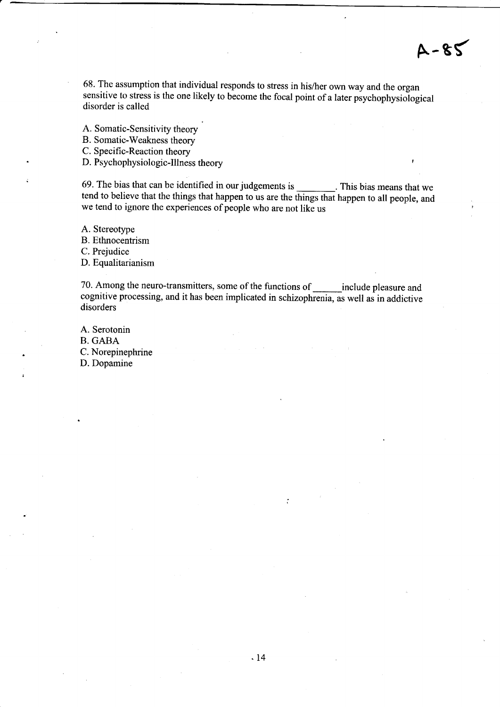68. The assumption that individual responds to stress in his/her own way and the organ sensitive to stress is the one likely to become the focal point of a later psychophysiological disorder is called

A-gr

A. Somatic-Sensitivity theory

B. Somatic-Weakness theory

C. Specific-Reaction theory

D. Psychophysiologic-Illness theory

69. The bias that can be identified in our judgements is This bias means that we tend to believe that the things that happen to us are the things that happen to all people, and we tend to ignore the experiences of people who are not like us

A. Stereotype B. Ethnocentrism

C. Prejudice

D. Equalitarianism

70. Among the neuro-transmitters, some of the functions of \_\_\_\_\_\_\_ include pleasure and cognitive processing, and it has been implicated in schizophrenia, as well as in addictive disorders

A. Serotonin B. GABA C. Norepinephrine D. Dopamine

 $\ddot{\cdot}$